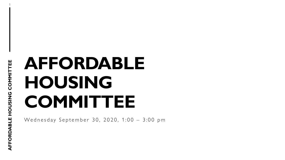# **AFFORDABLE HOUSING COMMITTEE**

Wednesday September 30, 2020, 1:00 - 3:00 pm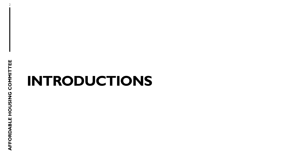2

# **INTRODUCTIONS**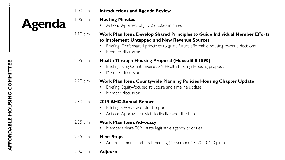1:00 p.m. **Introductions and Agenda Review**

**Agenda**

#### 1:05 p.m. **Meeting Minutes**

• Action: Approval of July 22, 2020 minutes

#### 1:10 p.m. **Work Plan Item: Develop Shared Principles to Guide Individual Member Efforts to Implement Untapped and New Revenue Sources**

- Briefing: Draft shared principles to guide future affordable housing revenue decisions
- Member discussion

#### 2:05 p.m. **Health Through Housing Proposal (House Bill 1590)**

- Briefing: King County Executive's Health through Housing proposal
- Member discussion

#### 2:20 p.m. **Work Plan Item: Countywide Planning Policies Housing Chapter Update**

- Briefing: Equity-focused structure and timeline update
- Member discussion

#### 2:30 p.m. **2019 AHC Annual Report**

- Briefing: Overview of draft report
- Action: Approval for staff to finalize and distribute

#### 2:35 p.m. **Work Plan Item: Advocacy**

- Members share 2021 state legislative agenda priorities
- 2:55 p.m. **Next Steps**
	- Announcements and next meeting (November 13, 2020, 1-3 p.m.)

3:00 p.m. **Adjourn**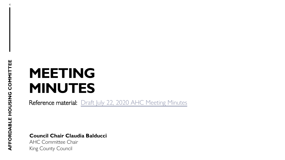4

# **MEETING MINUTES**

Reference material: [Draft July 22, 2020 AHC Meeting Minutes](https://www.kingcounty.gov/depts/community-human-services/housing/affordable-housing-committee/%7E/media/depts/community-human-services/housing-homelessness-community-development/documents/affordable-housing-committee/Meeting_09-30-2020/AHC_Meeting_Minutes__07,-d-,22,-d-,20.ashx?la=en)

**Council Chair Claudia Balducci**

AHC Committee Chair King County Council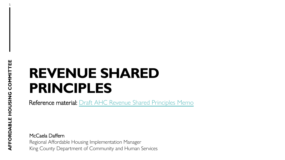5

# **REVENUE SHARED PRINCIPLES**

Reference material: [Draft AHC Revenue Shared Principles Memo](https://www.kingcounty.gov/%7E/media/depts/community-human-services/housing-homelessness-community-development/documents/affordable-housing-committee/Meeting_09-30-2020/Draft_AHC_Shared_Revenue_Principles_Memo.ashx?la=en)

McCaela Daffern Regional Affordable Housing Implementation Manager King County Department of Community and Human Services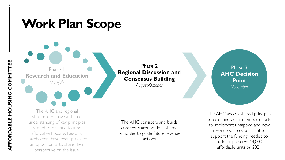## **Work Plan Scope**

Phase 1 **Research and Education**

*May-July*

Phase 2 **Regional Discussion and Consensus Building**

*August-October*

The AHC and regional stakeholders have a shared understanding of key principles related to revenue to fund affordable housing. Regional stakeholders have been provided an opportunity to share their perspective on the issue.

The AHC considers and builds consensus around draft shared principles to guide future revenue actions

Phase 3 **AHC Decision Point**  *November*

The AHC adopts shared principles to guide individual member efforts to implement untapped and new revenue sources sufficient to support the funding needed to build or preserve 44,000 affordable units by 2024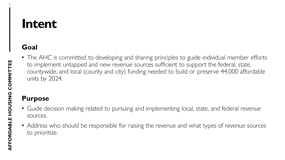## **Intent**

#### **Goal**

• The AHC is committed to developing and sharing principles to guide individual member efforts to implement untapped and new revenue sources sufficient to support the federal, state, countywide, and local (county and city) funding needed to build or preserve 44,000 affordable units by 2024.

#### **Purpose**

- Guide decision making related to pursuing and implementing local, state, and federal revenue sources.
- Address who should be responsible for raising the revenue and what types of revenue sources to prioritize.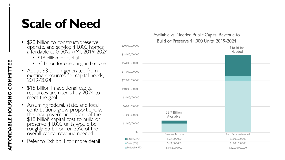## **Scale of Need**

- \$20 billion to construct/preserve, operate, and service 44,000 homes affordable at 0-50% AMI, 2019-2024
	- \$18 billion for capital
	- \$2 billion for operating and services
- About \$3 billion generated from existing resources for capital needs, 2019-2024
- \$15 billion in additional capital resources are needed by 2024 to meet the goal
- Assuming federal, state, and local contributions grow proportionally, the local government share of the \$18 billion capital cost to build or preserve 44,000 units would be roughly \$5 billion, or 25% of the overall capital revenue needed.
- Refer to Exhibit 1 for more detail

#### Available vs. Needed Public Capital Revenue to Build or Preserve 44,000 Units, 2019-2024

| \$20,000,000,000           |                            | \$18 Billion<br>Needed      |
|----------------------------|----------------------------|-----------------------------|
| \$18,000,000,000           |                            |                             |
| \$16,000,000,000           |                            |                             |
| \$14,000,000,000           |                            |                             |
| \$12,000,000,000           |                            |                             |
|                            |                            |                             |
| \$10,000,000,000           |                            |                             |
| \$8,000,000,000            |                            |                             |
| \$6,000,000,000            |                            |                             |
| \$4,000,000,000            | \$2.7 Billion<br>Available |                             |
| \$2,000,000,000            |                            |                             |
| $\mathcal{L}$              | Revenue Available          | <b>Total Revenue Needed</b> |
| $\blacksquare$ Local (25%) | \$689,000,000              | \$5,000,000,000             |
| State (6%)                 | \$158,000,000              | \$1,000,000,000             |
| Federal (69%)              | \$1,896,000,000            | \$12,000,000,000            |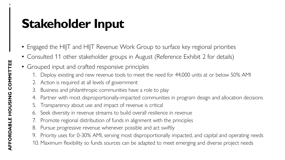## **Stakeholder Input**

- Engaged the HIJT and HIJT Revenue Work Group to surface key regional priorities
- Consulted 11 other stakeholder groups in August (Reference Exhibit 2 for details)
- Grouped input and crafted responsive principles
	- 1. Deploy existing and new revenue tools to meet the need for 44,000 units at or below 50% AMI
	- 2. Action is required at all levels of government
	- 3. Business and philanthropic communities have a role to play
	- 4. Partner with most disproportionally-impacted communities in program design and allocation decisions
	- Transparency about use and impact of revenue is critical
	- 6. Seek diversity in revenue streams to build overall resilience in revenue
	- 7. Promote regional distribution of funds in alignment with the principles
	- 8. Pursue progressive revenue whenever possible and act swiftly
	- 9. Priority uses for 0-30% AMI, serving most disproportionally impacted, and capital and operating needs
	- 10. Maximum flexibility so funds sources can be adapted to meet emerging and diverse project needs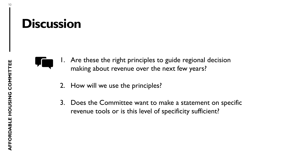### **Discussion**



- 1. Are these the right principles to guide regional decision making about revenue over the next few years?
	- 2. How will we use the principles?
	- 3. Does the Committee want to make a statement on specific revenue tools or is this level of specificity sufficient?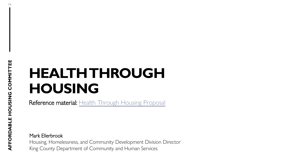11

# **HEALTH THROUGH HOUSING**

Reference material: [Health Through Housing Proposal](https://www.kingcounty.gov/%7E/media/depts/community-human-services/housing-homelessness-community-development/documents/affordable-housing-committee/Meeting_09-30-2020/Health_Through_Housing_Proposal.ashx?la=en)

Mark Ellerbrook

Housing, Homelessness, and Community Development Division Director King County Department of Community and Human Services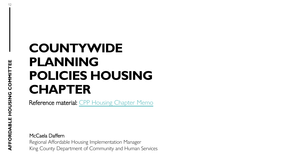## **COUNTYWIDE PLANNING POLICIES HOUSING CHAPTER**

Reference material: [CPP Housing Chapter Memo](https://www.kingcounty.gov/%7E/media/depts/community-human-services/housing-homelessness-community-development/documents/affordable-housing-committee/Meeting_09-30-2020/AHC_CPP_Housing_Chapter_Memo.ashx?la=en)

McCaela Daffern Regional Affordable Housing Implementation Manager King County Department of Community and Human Services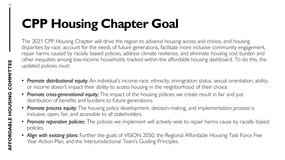# **CPP Housing Chapter Goal**

The 2021 CPP Housing Chapter will drive the region to advance housing access and choice, end housing disparities by race, account for the needs of future generations, facilitate more inclusive community engagement, repair harms caused by racially biased policies, address climate resilience, and eliminate housing cost burden and other inequities among low-income households tracked within the affordable housing dashboard. To do this, the updated policies must:

- *Promote distributional equity:* An individual's income race, ethnicity, immigration status, sexual orientation, ability, or income doesn't impact their ability to access housing in the neighborhood of their choice.
- **Promote cross-generational equity:** The impact of the housing policies we create result in fair and just distribution of benefits and burdens to future generations.
- Promote process equity: The housing policy development, decision-making, and implementation process is inclusive, open, fair, and accessible to all stakeholders.
- *Promote reparative policies:* The policies we implement will actively seek to repair harms cause by racially biased policies.
- *Align with existing plans:* Further the goals of VISION 2050, the Regional Affordable Housing Task Force Five Year Action Plan, and the Interjurisdictional Team's Guiding Principles.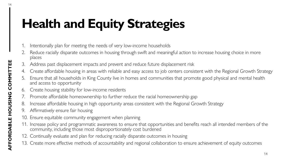# **Health and Equity Strategies**

- Intentionally plan for meeting the needs of very low-income households
- 2. Reduce racially disparate outcomes in housing through swift and meaningful action to increase housing choice in more places
- Address past displacement impacts and prevent and reduce future displacement risk
- 4. Create affordable housing in areas with reliable and easy access to job centers consistent with the Regional Growth Strategy
- 5. Ensure that all households in King County live in homes and communities that promote good physical and mental health and access to opportunity
- 6. Create housing stability for low-income residents
- 7. Promote affordable homeownership to further reduce the racial homeownership gap
- 8. Increase affordable housing in high opportunity areas consistent with the Regional Growth Strategy
- 9. Affirmatively ensure fair housing
- 10. Ensure equitable community engagement when planning
- 11. Increase policy and programmatic awareness to ensure that opportunities and benefits reach all intended members of the community, including those most disproportionately cost burdened
- 12. Continually evaluate and plan for reducing racially disparate outcomes in housing
- 13. Create more effective methods of accountability and regional collaboration to ensure achievement of equity outcomes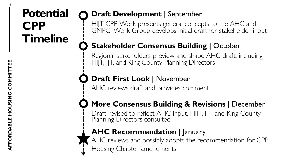### **Potential CPP Timeline**

### **Draft Development | September**

HIJT CPP Work presents general concepts to the AHC and GMPC. Work Group develops initial draft for stakeholder input

### **Stakeholder Consensus Building | October**

Regional stakeholders preview and shape AHC draft, including HIJT, IJT, and King County Planning Directors

### **Draft First Look |** November

AHC reviews draft and provides comment

### **More Consensus Building & Revisions | December**

Draft revised to reflect AHC input. HIJT, IJT, and King County Planning Directors consulted.

### **AHC Recommendation | January**

AHC reviews and possibly adopts the recommendation for CPP Housing Chapter amendments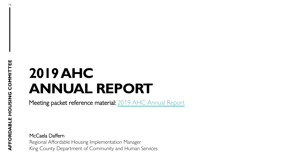# **2019 AHC ANNUAL REPORT**

Meeting packet reference material: [2019 AHC Annual Report](https://www.kingcounty.gov/%7E/media/depts/community-human-services/housing-homelessness-community-development/documents/affordable-housing-committee/Meeting_09-30-2020/2019AHCAnnualReport_Draft.ashx?la=en)

McCaela Daffern Regional Affordable Housing Implementation Manager King County Department of Community and Human Services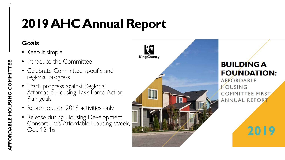## **2019 AHC Annual Report**

#### **Goals**

- Keep it simple
- Introduce the Committee
- Celebrate Committee-specific and regional progress
- Track progress against Regional Affordable Housing Task Force Action Plan goals
- Report out on 2019 activities only
- Release during Housing Development Consortium's Affordable Housing Week, Oct. 12-16



#### **BUILDING A FOUNDATION:**

**AFFORDABLE** HOUSING **COMMITTEE FIRST** ANNUAL REPORT

2019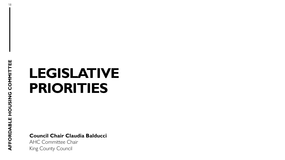# **LEGISLATIVE PRIORITIES**

**Council Chair Claudia Balducci**

AHC Committee Chair King County Council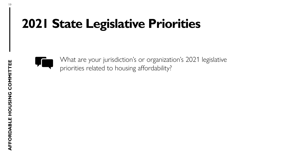## **2021 State Legislative Priorities**



What are your jurisdiction's or organization's 2021 legislative priorities related to housing affordability?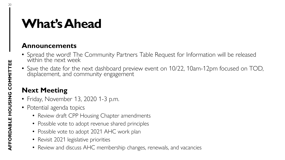## **What's Ahead**

#### **Announcements**

- Spread the word! The Community Partners Table Request for Information will be released within the next week
- Save the date for the next dashboard preview event on 10/22, 10am-12pm focused on TOD, displacement, and community engagement

#### **Next Meeting**

- Friday, November 13, 2020 1-3 p.m.
- Potential agenda topics
	- Review draft CPP Housing Chapter amendments
	- Possible vote to adopt revenue shared principles
	- Possible vote to adopt 2021 AHC work plan
	- Revisit 2021 legislative priorities
	- Review and discuss AHC membership changes, renewals, and vacancies